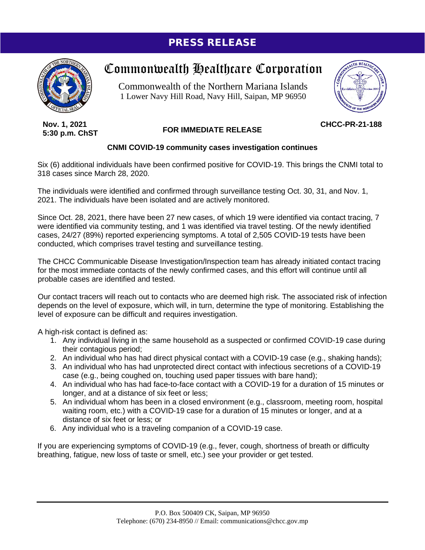# PRESS RELEASE



# Commonwealth Healthcare Corporation

Commonwealth of the Northern Mariana Islands 1 Lower Navy Hill Road, Navy Hill, Saipan, MP 96950



**Nov. 1, 2021 5:30 p.m. ChST**

## **FOR IMMEDIATE RELEASE**

**CHCC-PR-21-188**

### **CNMI COVID-19 community cases investigation continues**

Six (6) additional individuals have been confirmed positive for COVID-19. This brings the CNMI total to 318 cases since March 28, 2020.

The individuals were identified and confirmed through surveillance testing Oct. 30, 31, and Nov. 1, 2021. The individuals have been isolated and are actively monitored.

Since Oct. 28, 2021, there have been 27 new cases, of which 19 were identified via contact tracing, 7 were identified via community testing, and 1 was identified via travel testing. Of the newly identified cases, 24/27 (89%) reported experiencing symptoms. A total of 2,505 COVID-19 tests have been conducted, which comprises travel testing and surveillance testing.

The CHCC Communicable Disease Investigation/Inspection team has already initiated contact tracing for the most immediate contacts of the newly confirmed cases, and this effort will continue until all probable cases are identified and tested.

Our contact tracers will reach out to contacts who are deemed high risk. The associated risk of infection depends on the level of exposure, which will, in turn, determine the type of monitoring. Establishing the level of exposure can be difficult and requires investigation.

A high-risk contact is defined as:

- 1. Any individual living in the same household as a suspected or confirmed COVID-19 case during their contagious period;
- 2. An individual who has had direct physical contact with a COVID-19 case (e.g., shaking hands);
- 3. An individual who has had unprotected direct contact with infectious secretions of a COVID-19 case (e.g., being coughed on, touching used paper tissues with bare hand);
- 4. An individual who has had face-to-face contact with a COVID-19 for a duration of 15 minutes or longer, and at a distance of six feet or less;
- 5. An individual whom has been in a closed environment (e.g., classroom, meeting room, hospital waiting room, etc.) with a COVID-19 case for a duration of 15 minutes or longer, and at a distance of six feet or less; or
- 6. Any individual who is a traveling companion of a COVID-19 case.

If you are experiencing symptoms of COVID-19 (e.g., fever, cough, shortness of breath or difficulty breathing, fatigue, new loss of taste or smell, etc.) see your provider or get tested.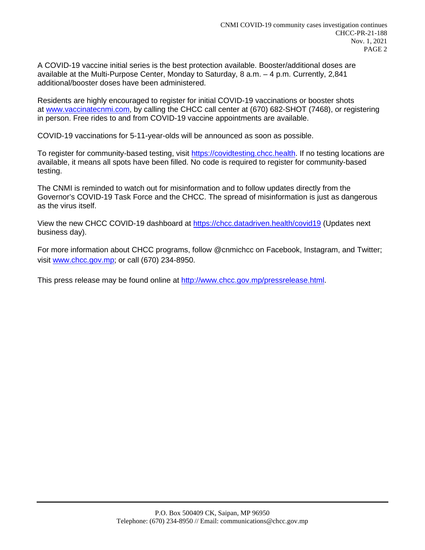A COVID-19 vaccine initial series is the best protection available. Booster/additional doses are available at the Multi-Purpose Center, Monday to Saturday, 8 a.m. – 4 p.m. Currently, 2,841 additional/booster doses have been administered.

Residents are highly encouraged to register for initial COVID-19 vaccinations or booster shots at [www.vaccinatecnmi.com,](http://www.vaccinatecnmi.com/) by calling the CHCC call center at (670) 682-SHOT (7468), or registering in person. Free rides to and from COVID-19 vaccine appointments are available.

COVID-19 vaccinations for 5-11-year-olds will be announced as soon as possible.

To register for community-based testing, visit [https://covidtesting.chcc.health.](https://covidtesting.chcc.health/) If no testing locations are available, it means all spots have been filled. No code is required to register for community-based testing.

The CNMI is reminded to watch out for misinformation and to follow updates directly from the Governor's COVID-19 Task Force and the CHCC. The spread of misinformation is just as dangerous as the virus itself.

View the new CHCC COVID-19 dashboard at <https://chcc.datadriven.health/covid19> (Updates next business day).

For more information about CHCC programs, follow @cnmichcc on Facebook, Instagram, and Twitter; visit [www.chcc.gov.mp;](http://www.chcc.gov.mp/) or call (670) 234-8950.

This press release may be found online at [http://www.chcc.gov.mp/pressrelease.html.](http://www.chcc.gov.mp/pressrelease.html)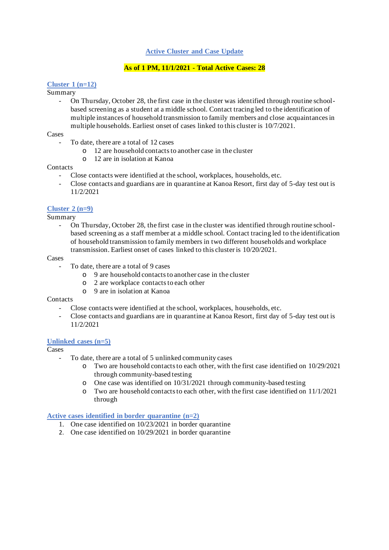#### **Active Cluster and Case Update**

#### **As of 1 PM, 11/1/2021 - Total Active Cases: 28**

#### **Cluster 1 (n=12)**

#### Summary

- On Thursday, October 28, the first case in the cluster was identified through routine schoolbased screening as a student at a middle school. Contact tracing led to the identification of multiple instances of household transmission to family members and close acquaintances in multiple households. Earliest onset of cases linked to this cluster is 10/7/2021.

#### Cases

- To date, there are a total of 12 cases
	- o 12 are household contacts to another case in the cluster
	- o 12 are in isolation at Kanoa

#### **Contacts**

- Close contacts were identified at the school, workplaces, households, etc.
- Close contacts and guardians are in quarantine at Kanoa Resort, first day of 5-day test out is 11/2/2021

#### **Cluster 2 (n=9)**

Summary

- On Thursday, October 28, the first case in the cluster was identified through routine schoolbased screening as a staff member at a middle school. Contact tracing led to the identification of household transmission to family members in two different households and workplace transmission. Earliest onset of cases linked to this cluster is 10/20/2021.

#### Cases

- To date, there are a total of 9 cases
	- o 9 are household contacts to another case in the cluster
	- o 2 are workplace contacts to each other
	- o 9 are in isolation at Kanoa

#### **Contacts**

- Close contacts were identified at the school, workplaces, households, etc.
- Close contacts and guardians are in quarantine at Kanoa Resort, first day of 5-day test out is 11/2/2021

#### **Unlinked cases (n=5)**

Cases

- To date, there are a total of 5 unlinked community cases
	- o Two are household contacts to each other, with the first case identified on 10/29/2021 through community-based testing
	- One case was identified on  $10/31/2021$  through community-based testing
	- o Two are household contacts to each other, with the first case identified on 11/1/2021 through

#### **Active cases identified in border quarantine (n=2)**

- 1. One case identified on 10/23/2021 in border quarantine
- 2. One case identified on 10/29/2021 in border quarantine